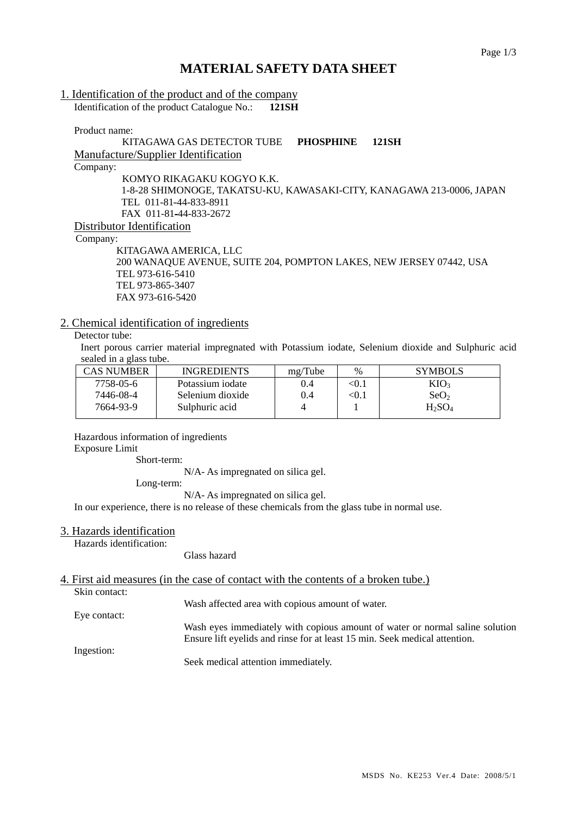# **MATERIAL SAFETY DATA SHEET**

### 1. Identification of the product and of the company Identification of the product Catalogue No.: **121SH**

Product name:

### KITAGAWA GAS DETECTOR TUBE **PHOSPHINE 121SH** Manufacture/Supplier Identification Company: KOMYO RIKAGAKU KOGYO K.K. 1-8-28 SHIMONOGE, TAKATSU-KU, KAWASAKI-CITY, KANAGAWA 213-0006, JAPAN TEL 011-81-44-833-8911 FAX 011-81-44-833-2672 Distributor Identification

Company:

 KITAGAWA AMERICA, LLC 200 WANAQUE AVENUE, SUITE 204, POMPTON LAKES, NEW JERSEY 07442, USA TEL 973-616-5410 TEL 973-865-3407 FAX 973-616-5420

### 2. Chemical identification of ingredients

# Detector tube:

Inert porous carrier material impregnated with Potassium iodate, Selenium dioxide and Sulphuric acid sealed in a glass tube.

| CAS NUMBER | <b>INGREDIENTS</b> | mg/Tube | $\%$ | <b>SYMBOLS</b>   |
|------------|--------------------|---------|------|------------------|
| 7758-05-6  | Potassium iodate   | 0.4     | <0.1 | KIO <sub>3</sub> |
| 7446-08-4  | Selenium dioxide   | 0.4     | <0.1 | SeO <sub>2</sub> |
| 7664-93-9  | Sulphuric acid     |         |      | $H_2SO_4$        |
|            |                    |         |      |                  |

Hazardous information of ingredients

#### Exposure Limit

Short-term:

N/A- As impregnated on silica gel.

Long-term:

N/A- As impregnated on silica gel.

In our experience, there is no release of these chemicals from the glass tube in normal use.

### 3. Hazards identification

Hazards identification:

Glass hazard

# 4. First aid measures (in the case of contact with the contents of a broken tube.)

Skin contact:

Wash affected area with copious amount of water.

Eye contact: Wash eyes immediately with copious amount of water or normal saline solution Ensure lift eyelids and rinse for at least 15 min. Seek medical attention.

Ingestion:

Seek medical attention immediately.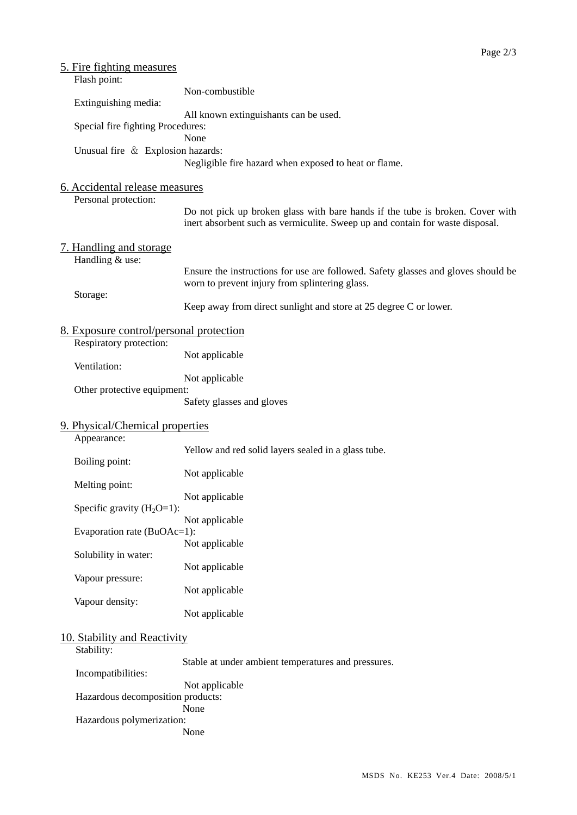| <u>5. Fire fighting measures</u><br>Flash point:                   |                                                                                                                                                                |
|--------------------------------------------------------------------|----------------------------------------------------------------------------------------------------------------------------------------------------------------|
| Extinguishing media:                                               | Non-combustible                                                                                                                                                |
| Special fire fighting Procedures:                                  | All known extinguishants can be used.                                                                                                                          |
| Unusual fire & Explosion hazards:                                  | None<br>Negligible fire hazard when exposed to heat or flame.                                                                                                  |
| 6. Accidental release measures                                     |                                                                                                                                                                |
| Personal protection:                                               | Do not pick up broken glass with bare hands if the tube is broken. Cover with<br>inert absorbent such as vermiculite. Sweep up and contain for waste disposal. |
| 7. Handling and storage<br>Handling & use:                         |                                                                                                                                                                |
|                                                                    | Ensure the instructions for use are followed. Safety glasses and gloves should be<br>worn to prevent injury from splintering glass.                            |
| Storage:                                                           | Keep away from direct sunlight and store at 25 degree C or lower.                                                                                              |
| 8. Exposure control/personal protection<br>Respiratory protection: |                                                                                                                                                                |
| Ventilation:                                                       | Not applicable                                                                                                                                                 |
| Other protective equipment:                                        | Not applicable                                                                                                                                                 |
|                                                                    | Safety glasses and gloves                                                                                                                                      |
| 9. Physical/Chemical properties<br>Appearance:                     |                                                                                                                                                                |
| Boiling point:                                                     | Yellow and red solid layers sealed in a glass tube.                                                                                                            |
| Melting point:                                                     | Not applicable                                                                                                                                                 |
| Specific gravity $(H_2O=1)$ :                                      | Not applicable                                                                                                                                                 |
| Evaporation rate (BuOAc=1):                                        | Not applicable                                                                                                                                                 |
| Solubility in water:                                               | Not applicable                                                                                                                                                 |
| Vapour pressure:                                                   | Not applicable<br>Not applicable                                                                                                                               |
| Vapour density:                                                    | Not applicable                                                                                                                                                 |
| 10. Stability and Reactivity                                       |                                                                                                                                                                |
| Stability:                                                         | Stable at under ambient temperatures and pressures.                                                                                                            |
| Incompatibilities:<br>Hazardous decomposition products:            | Not applicable                                                                                                                                                 |
| Hazardous polymerization:                                          | None<br>None                                                                                                                                                   |